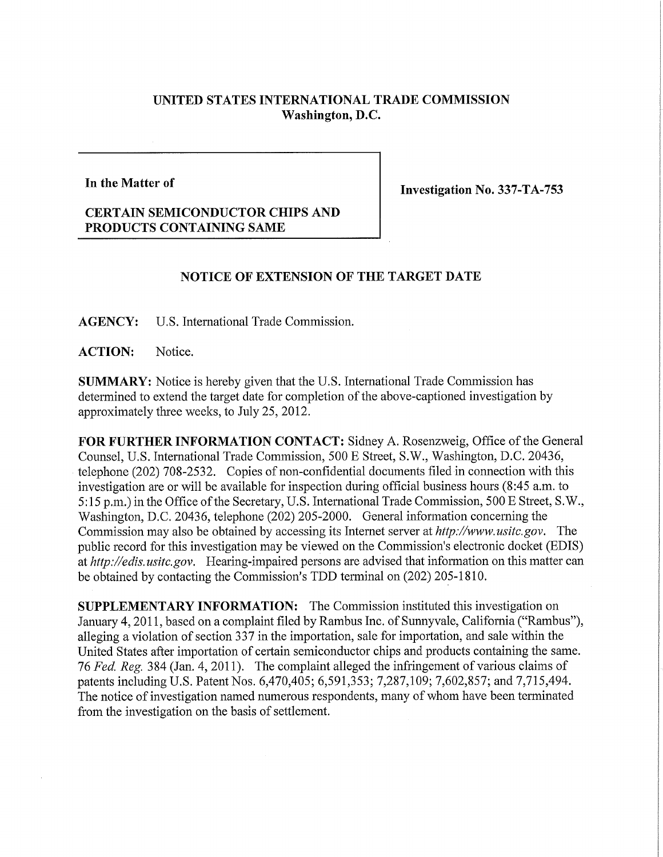## **UNITED STATES INTERNATIONAL TRADE COMMISSION Washington, D.C.**

**In the Matter of** 

**Investigation No. 337-TA-753** 

## **CERTAIN SEMICONDUCTOR CHIPS AND PRODUCTS CONTAINING SAME**

## **NOTICE OF EXTENSION OF THE TARGET DATE**

**AGENCY:** U.S. International Trade Commission.

**ACTION:** Notice.

**SUMMARY:** Notice is hereby given that the U.S. International Trade Commission has determined to extend the target date for completion of the above-captioned investigation by approximately three weeks, to July 25, 2012.

FOR FURTHER INFORMATION CONTACT: Sidney A. Rosenzweig, Office of the General Counsel, U.S. International Trade Commission, 500 E Street, S.W., Washington, D.C. 20436, telephone (202) 708-2532. Copies of non-confidential documents filed in connection with this investigation are or will be available for inspection during official business hours (8:45 a.m. to 5:15 p.m.) in the Office of the Secretary, U.S. International Trade Commission, 500 E Street, S.W., Washington, D.C. 20436, telephone (202) 205-2000. General information concerning the Commission may also be obtained by accessing its Internet server at *http://www.usitc.gov.* The public record for this mvestigation may be viewed on the Commission's electronic docket (EDIS) at *http://edis. usitc.gov.* Hearing-impaired persons are advised that information on this matter can be obtained by contacting the Commission's TDD terminal on (202) 205-1810.

**SUPPLEMENTARY INFORMATION:** The Commission instituted this investigation on January 4,2011, based on a complaint filed by Rambus Inc. of Sunnyvale, California ("Rambus"), alleging a violation of section 337 in the importation, sale for importation, and sale within the United States after importation of certain semiconductor chips and products containing the same. 76 *Fed. Reg.* 384 (Jan. 4, 2011). The complaint alleged the infringement of various claims of patents including U.S. Patent Nos. 6,470,405; 6,591,353; 7,287,109; 7,602,857; and 7,715,494. The notice of investigation named numerous respondents, many of whom have been terminated from the investigation on the basis of settlement.